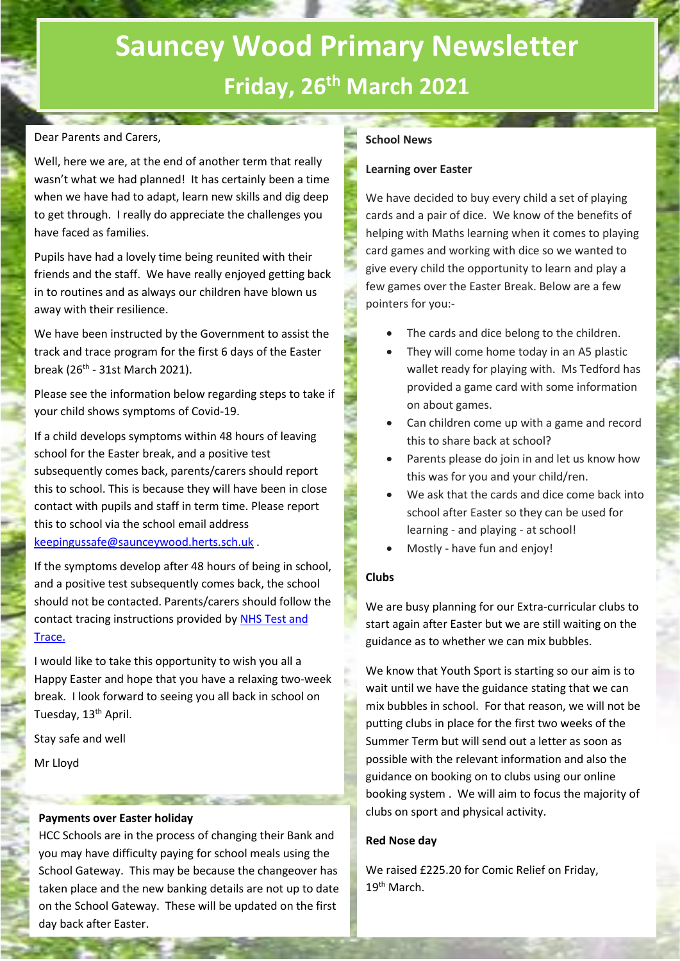# **Sauncey Wood Primary Newsletter Friday, 26th March 2021**

#### Dear Parents and Carers,

Well, here we are, at the end of another term that really wasn't what we had planned! It has certainly been a time when we have had to adapt, learn new skills and dig deep to get through. I really do appreciate the challenges you have faced as families.

Pupils have had a lovely time being reunited with their friends and the staff. We have really enjoyed getting back in to routines and as always our children have blown us away with their resilience.

We have been instructed by the Government to assist the track and trace program for the first 6 days of the Easter break (26<sup>th</sup> - 31st March 2021).

Please see the information below regarding steps to take if your child shows symptoms of Covid-19.

If a child develops symptoms within 48 hours of leaving school for the Easter break, and a positive test subsequently comes back, parents/carers should report this to school. This is because they will have been in close contact with pupils and staff in term time. Please report this to school via the school email address [keepingussafe@saunceywood.herts.sch.uk](mailto:keepingussafe@saunceywood.herts.sch.uk) .

If the symptoms develop after 48 hours of being in school, and a positive test subsequently comes back, the school should not be contacted. Parents/carers should follow the contact tracing instructions provided by [NHS Test and](https://www.nhs.uk/conditions/coronavirus-covid-19/testing-and-tracing/)  [Trace.](https://www.nhs.uk/conditions/coronavirus-covid-19/testing-and-tracing/)

I would like to take this opportunity to wish you all a Happy Easter and hope that you have a relaxing two-week break. I look forward to seeing you all back in school on Tuesday, 13<sup>th</sup> April.

Stay safe and well

Mr Lloyd

## **Payments over Easter holiday**

HCC Schools are in the process of changing their Bank and you may have difficulty paying for school meals using the School Gateway. This may be because the changeover has taken place and the new banking details are not up to date on the School Gateway. These will be updated on the first day back after Easter.

# **School News**

#### **Learning over Easter**

We have decided to buy every child a set of playing cards and a pair of dice. We know of the benefits of helping with Maths learning when it comes to playing card games and working with dice so we wanted to give every child the opportunity to learn and play a few games over the Easter Break. Below are a few pointers for you:-

- The cards and dice belong to the children.
- They will come home today in an A5 plastic wallet ready for playing with. Ms Tedford has provided a game card with some information on about games.
- Can children come up with a game and record this to share back at school?
- Parents please do join in and let us know how this was for you and your child/ren.
- We ask that the cards and dice come back into school after Easter so they can be used for learning - and playing - at school!
- Mostly have fun and enjoy!

## **Clubs**

We are busy planning for our Extra-curricular clubs to start again after Easter but we are still waiting on the guidance as to whether we can mix bubbles.

We know that Youth Sport is starting so our aim is to wait until we have the guidance stating that we can mix bubbles in school. For that reason, we will not be putting clubs in place for the first two weeks of the Summer Term but will send out a letter as soon as possible with the relevant information and also the guidance on booking on to clubs using our online booking system . We will aim to focus the majority of clubs on sport and physical activity.

#### **Red Nose day**

We raised £225.20 for Comic Relief on Friday, 19<sup>th</sup> March.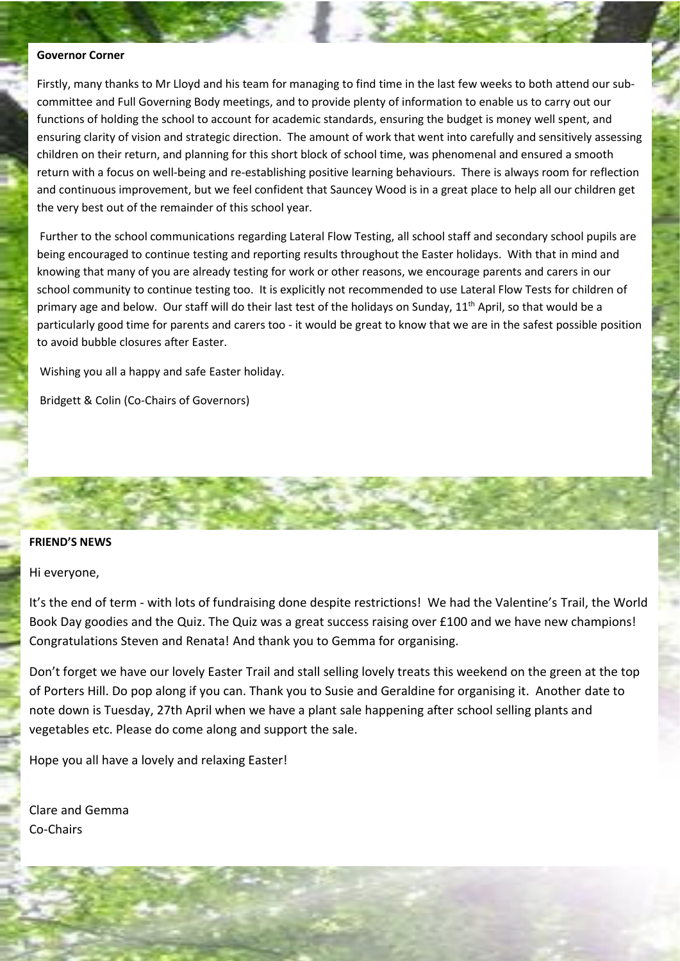#### **Governor Corner**

Firstly, many thanks to Mr Lloyd and his team for managing to find time in the last few weeks to both attend our subcommittee and Full Governing Body meetings, and to provide plenty of information to enable us to carry out our functions of holding the school to account for academic standards, ensuring the budget is money well spent, and ensuring clarity of vision and strategic direction. The amount of work that went into carefully and sensitively assessing children on their return, and planning for this short block of school time, was phenomenal and ensured a smooth return with a focus on well-being and re-establishing positive learning behaviours. There is always room for reflection and continuous improvement, but we feel confident that Sauncey Wood is in a great place to help all our children get the very best out of the remainder of this school year.

Further to the school communications regarding Lateral Flow Testing, all school staff and secondary school pupils are being encouraged to continue testing and reporting results throughout the Easter holidays. With that in mind and knowing that many of you are already testing for work or other reasons, we encourage parents and carers in our school community to continue testing too. It is explicitly not recommended to use Lateral Flow Tests for children of primary age and below. Our staff will do their last test of the holidays on Sunday, 11<sup>th</sup> April, so that would be a particularly good time for parents and carers too - it would be great to know that we are in the safest possible position to avoid bubble closures after Easter.

Wishing you all a happy and safe Easter holiday.

Bridgett & Colin (Co-Chairs of Governors)



# **FRIEND'S NEWS**

#### Hi everyone,

It's the end of term - with lots of fundraising done despite restrictions! We had the Valentine's Trail, the World Book Day goodies and the Quiz. The Quiz was a great success raising over £100 and we have new champions! Congratulations Steven and Renata! And thank you to Gemma for organising.

Don't forget we have our lovely Easter Trail and stall selling lovely treats this weekend on the green at the top of Porters Hill. Do pop along if you can. Thank you to Susie and Geraldine for organising it. Another date to note down is Tuesday, 27th April when we have a plant sale happening after school selling plants and vegetables etc. Please do come along and support the sale.

Hope you all have a lovely and relaxing Easter!

Clare and Gemma Co-Chairs